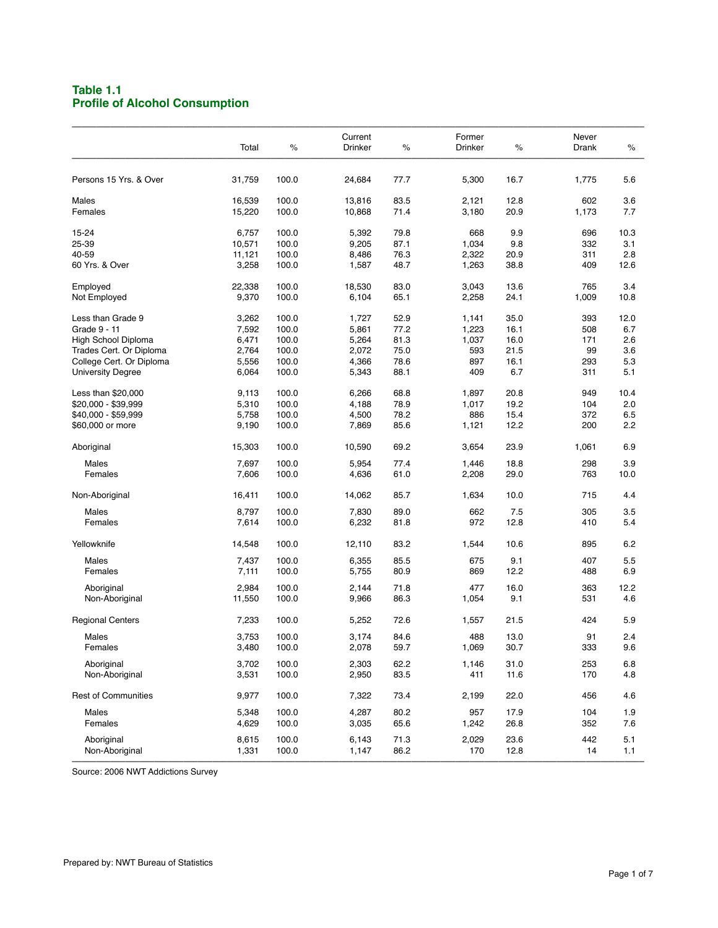## **Table 1.1 Profile of Alcohol Consumption**

|                            | Total  | $\%$  | Current<br>Drinker | $\%$ | Former<br>Drinker | $\%$ | Never<br>Drank | $\%$ |
|----------------------------|--------|-------|--------------------|------|-------------------|------|----------------|------|
| Persons 15 Yrs. & Over     | 31,759 | 100.0 | 24,684             | 77.7 | 5,300             | 16.7 | 1,775          | 5.6  |
| Males                      | 16,539 | 100.0 | 13,816             | 83.5 | 2,121             | 12.8 | 602            | 3.6  |
| Females                    | 15,220 | 100.0 | 10,868             | 71.4 | 3,180             | 20.9 | 1,173          | 7.7  |
| 15-24                      | 6,757  | 100.0 | 5,392              | 79.8 | 668               | 9.9  | 696            | 10.3 |
| 25-39                      | 10,571 | 100.0 | 9,205              | 87.1 | 1,034             | 9.8  | 332            | 3.1  |
| 40-59                      | 11,121 | 100.0 | 8,486              | 76.3 | 2,322             | 20.9 | 311            | 2.8  |
| 60 Yrs. & Over             | 3,258  | 100.0 | 1,587              | 48.7 | 1,263             | 38.8 | 409            | 12.6 |
| Employed                   | 22,338 | 100.0 | 18,530             | 83.0 | 3,043             | 13.6 | 765            | 3.4  |
| Not Employed               | 9,370  | 100.0 | 6,104              | 65.1 | 2,258             | 24.1 | 1,009          | 10.8 |
| Less than Grade 9          | 3,262  | 100.0 | 1,727              | 52.9 | 1,141             | 35.0 | 393            | 12.0 |
| Grade 9 - 11               | 7,592  | 100.0 | 5,861              | 77.2 | 1,223             | 16.1 | 508            | 6.7  |
| High School Diploma        | 6,471  | 100.0 | 5,264              | 81.3 | 1,037             | 16.0 | 171            | 2.6  |
| Trades Cert. Or Diploma    | 2,764  | 100.0 | 2,072              | 75.0 | 593               | 21.5 | 99             | 3.6  |
| College Cert. Or Diploma   | 5,556  | 100.0 | 4,366              | 78.6 | 897               | 16.1 | 293            | 5.3  |
| <b>University Degree</b>   | 6,064  | 100.0 | 5,343              | 88.1 | 409               | 6.7  | 311            | 5.1  |
| Less than \$20,000         | 9,113  | 100.0 | 6,266              | 68.8 | 1,897             | 20.8 | 949            | 10.4 |
| \$20,000 - \$39,999        | 5,310  | 100.0 | 4,188              | 78.9 | 1,017             | 19.2 | 104            | 2.0  |
| \$40,000 - \$59,999        | 5,758  | 100.0 | 4,500              | 78.2 | 886               | 15.4 | 372            | 6.5  |
| \$60,000 or more           | 9,190  | 100.0 | 7,869              | 85.6 | 1,121             | 12.2 | 200            | 2.2  |
| Aboriginal                 | 15,303 | 100.0 | 10,590             | 69.2 | 3,654             | 23.9 | 1,061          | 6.9  |
| Males                      | 7,697  | 100.0 | 5,954              | 77.4 | 1,446             | 18.8 | 298            | 3.9  |
| Females                    | 7,606  | 100.0 | 4,636              | 61.0 | 2,208             | 29.0 | 763            | 10.0 |
| Non-Aboriginal             | 16,411 | 100.0 | 14,062             | 85.7 | 1,634             | 10.0 | 715            | 4.4  |
| Males                      | 8,797  | 100.0 | 7,830              | 89.0 | 662               | 7.5  | 305            | 3.5  |
| Females                    | 7,614  | 100.0 | 6,232              | 81.8 | 972               | 12.8 | 410            | 5.4  |
| Yellowknife                | 14,548 | 100.0 | 12,110             | 83.2 | 1,544             | 10.6 | 895            | 6.2  |
| Males                      | 7,437  | 100.0 | 6,355              | 85.5 | 675               | 9.1  | 407            | 5.5  |
| Females                    | 7,111  | 100.0 | 5,755              | 80.9 | 869               | 12.2 | 488            | 6.9  |
| Aboriginal                 | 2,984  | 100.0 | 2,144              | 71.8 | 477               | 16.0 | 363            | 12.2 |
| Non-Aboriginal             | 11,550 | 100.0 | 9,966              | 86.3 | 1,054             | 9.1  | 531            | 4.6  |
| <b>Regional Centers</b>    | 7,233  | 100.0 | 5,252              | 72.6 | 1,557             | 21.5 | 424            | 5.9  |
| Males                      | 3,753  | 100.0 | 3,174              | 84.6 | 488               | 13.0 | 91             | 2.4  |
| Females                    | 3,480  | 100.0 | 2,078              | 59.7 | 1,069             | 30.7 | 333            | 9.6  |
| Aboriginal                 | 3,702  | 100.0 | 2,303              | 62.2 | 1,146             | 31.0 | 253            | 6.8  |
| Non-Aboriginal             | 3,531  | 100.0 | 2,950              | 83.5 | 411               | 11.6 | 170            | 4.8  |
| <b>Rest of Communities</b> | 9,977  | 100.0 | 7,322              | 73.4 | 2,199             | 22.0 | 456            | 4.6  |
| Males                      | 5,348  | 100.0 | 4,287              | 80.2 | 957               | 17.9 | 104            | 1.9  |
| Females                    | 4,629  | 100.0 | 3,035              | 65.6 | 1,242             | 26.8 | 352            | 7.6  |
| Aboriginal                 | 8,615  | 100.0 | 6,143              | 71.3 | 2,029             | 23.6 | 442            | 5.1  |
| Non-Aboriginal             | 1,331  | 100.0 | 1,147              | 86.2 | 170               | 12.8 | 14             | 1.1  |
|                            |        |       |                    |      |                   |      |                |      |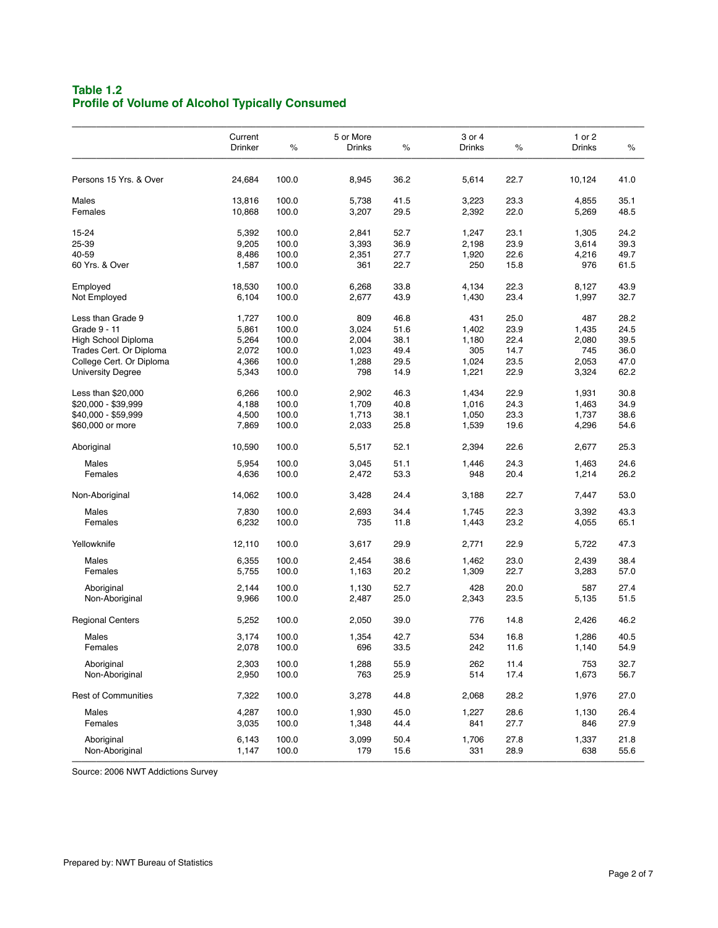# **Table 1.2 Profile of Volume of Alcohol Typically Consumed**

| Current |                                                                                                                                                                                                       | 5 or More                                                                                                                                                                                 |                                                                                                                                                                                         | 3 or 4                                                                                                                                                                       |                                                                                                                                                                          | 1 or 2                                                                                                                                                       |                                                                                                                                                                             |
|---------|-------------------------------------------------------------------------------------------------------------------------------------------------------------------------------------------------------|-------------------------------------------------------------------------------------------------------------------------------------------------------------------------------------------|-----------------------------------------------------------------------------------------------------------------------------------------------------------------------------------------|------------------------------------------------------------------------------------------------------------------------------------------------------------------------------|--------------------------------------------------------------------------------------------------------------------------------------------------------------------------|--------------------------------------------------------------------------------------------------------------------------------------------------------------|-----------------------------------------------------------------------------------------------------------------------------------------------------------------------------|
| Drinker | $\%$                                                                                                                                                                                                  | Drinks                                                                                                                                                                                    | $\%$                                                                                                                                                                                    | <b>Drinks</b>                                                                                                                                                                | $\%$                                                                                                                                                                     | Drinks                                                                                                                                                       | $\%$                                                                                                                                                                        |
|         |                                                                                                                                                                                                       |                                                                                                                                                                                           |                                                                                                                                                                                         |                                                                                                                                                                              |                                                                                                                                                                          |                                                                                                                                                              | 41.0                                                                                                                                                                        |
|         |                                                                                                                                                                                                       |                                                                                                                                                                                           |                                                                                                                                                                                         |                                                                                                                                                                              |                                                                                                                                                                          |                                                                                                                                                              |                                                                                                                                                                             |
|         |                                                                                                                                                                                                       |                                                                                                                                                                                           |                                                                                                                                                                                         |                                                                                                                                                                              |                                                                                                                                                                          |                                                                                                                                                              | 35.1                                                                                                                                                                        |
|         |                                                                                                                                                                                                       |                                                                                                                                                                                           |                                                                                                                                                                                         |                                                                                                                                                                              |                                                                                                                                                                          |                                                                                                                                                              | 48.5                                                                                                                                                                        |
| 5,392   | 100.0                                                                                                                                                                                                 | 2,841                                                                                                                                                                                     | 52.7                                                                                                                                                                                    | 1,247                                                                                                                                                                        | 23.1                                                                                                                                                                     | 1,305                                                                                                                                                        | 24.2                                                                                                                                                                        |
|         |                                                                                                                                                                                                       |                                                                                                                                                                                           |                                                                                                                                                                                         |                                                                                                                                                                              |                                                                                                                                                                          |                                                                                                                                                              | 39.3                                                                                                                                                                        |
|         |                                                                                                                                                                                                       |                                                                                                                                                                                           |                                                                                                                                                                                         | 1,920                                                                                                                                                                        |                                                                                                                                                                          | 4,216                                                                                                                                                        | 49.7                                                                                                                                                                        |
| 1,587   | 100.0                                                                                                                                                                                                 | 361                                                                                                                                                                                       |                                                                                                                                                                                         | 250                                                                                                                                                                          | 15.8                                                                                                                                                                     | 976                                                                                                                                                          | 61.5                                                                                                                                                                        |
| 18,530  | 100.0                                                                                                                                                                                                 | 6,268                                                                                                                                                                                     | 33.8                                                                                                                                                                                    | 4,134                                                                                                                                                                        | 22.3                                                                                                                                                                     | 8,127                                                                                                                                                        | 43.9                                                                                                                                                                        |
| 6,104   | 100.0                                                                                                                                                                                                 | 2,677                                                                                                                                                                                     | 43.9                                                                                                                                                                                    | 1,430                                                                                                                                                                        | 23.4                                                                                                                                                                     | 1,997                                                                                                                                                        | 32.7                                                                                                                                                                        |
|         | 100.0                                                                                                                                                                                                 | 809                                                                                                                                                                                       | 46.8                                                                                                                                                                                    | 431                                                                                                                                                                          | 25.0                                                                                                                                                                     | 487                                                                                                                                                          | 28.2                                                                                                                                                                        |
|         |                                                                                                                                                                                                       |                                                                                                                                                                                           |                                                                                                                                                                                         |                                                                                                                                                                              | 23.9                                                                                                                                                                     |                                                                                                                                                              | 24.5                                                                                                                                                                        |
|         |                                                                                                                                                                                                       |                                                                                                                                                                                           |                                                                                                                                                                                         |                                                                                                                                                                              |                                                                                                                                                                          |                                                                                                                                                              | 39.5                                                                                                                                                                        |
|         |                                                                                                                                                                                                       |                                                                                                                                                                                           |                                                                                                                                                                                         |                                                                                                                                                                              |                                                                                                                                                                          |                                                                                                                                                              | 36.0                                                                                                                                                                        |
|         |                                                                                                                                                                                                       |                                                                                                                                                                                           |                                                                                                                                                                                         |                                                                                                                                                                              |                                                                                                                                                                          |                                                                                                                                                              | 47.0                                                                                                                                                                        |
| 5,343   | 100.0                                                                                                                                                                                                 | 798                                                                                                                                                                                       | 14.9                                                                                                                                                                                    | 1,221                                                                                                                                                                        | 22.9                                                                                                                                                                     | 3,324                                                                                                                                                        | 62.2                                                                                                                                                                        |
|         |                                                                                                                                                                                                       |                                                                                                                                                                                           |                                                                                                                                                                                         |                                                                                                                                                                              |                                                                                                                                                                          |                                                                                                                                                              | 30.8                                                                                                                                                                        |
|         |                                                                                                                                                                                                       |                                                                                                                                                                                           |                                                                                                                                                                                         |                                                                                                                                                                              |                                                                                                                                                                          |                                                                                                                                                              | 34.9                                                                                                                                                                        |
|         |                                                                                                                                                                                                       |                                                                                                                                                                                           |                                                                                                                                                                                         |                                                                                                                                                                              |                                                                                                                                                                          |                                                                                                                                                              | 38.6                                                                                                                                                                        |
|         |                                                                                                                                                                                                       |                                                                                                                                                                                           |                                                                                                                                                                                         |                                                                                                                                                                              |                                                                                                                                                                          |                                                                                                                                                              |                                                                                                                                                                             |
|         |                                                                                                                                                                                                       |                                                                                                                                                                                           |                                                                                                                                                                                         |                                                                                                                                                                              |                                                                                                                                                                          |                                                                                                                                                              | 54.6                                                                                                                                                                        |
| 10,590  | 100.0                                                                                                                                                                                                 | 5,517                                                                                                                                                                                     | 52.1                                                                                                                                                                                    | 2,394                                                                                                                                                                        | 22.6                                                                                                                                                                     | 2,677                                                                                                                                                        | 25.3                                                                                                                                                                        |
| 5,954   | 100.0                                                                                                                                                                                                 | 3,045                                                                                                                                                                                     | 51.1                                                                                                                                                                                    | 1,446                                                                                                                                                                        | 24.3                                                                                                                                                                     | 1,463                                                                                                                                                        | 24.6                                                                                                                                                                        |
| 4,636   | 100.0                                                                                                                                                                                                 | 2,472                                                                                                                                                                                     | 53.3                                                                                                                                                                                    | 948                                                                                                                                                                          | 20.4                                                                                                                                                                     | 1,214                                                                                                                                                        | 26.2                                                                                                                                                                        |
| 14,062  | 100.0                                                                                                                                                                                                 | 3,428                                                                                                                                                                                     | 24.4                                                                                                                                                                                    | 3,188                                                                                                                                                                        | 22.7                                                                                                                                                                     | 7,447                                                                                                                                                        | 53.0                                                                                                                                                                        |
|         |                                                                                                                                                                                                       |                                                                                                                                                                                           |                                                                                                                                                                                         |                                                                                                                                                                              |                                                                                                                                                                          |                                                                                                                                                              |                                                                                                                                                                             |
|         |                                                                                                                                                                                                       |                                                                                                                                                                                           |                                                                                                                                                                                         |                                                                                                                                                                              |                                                                                                                                                                          |                                                                                                                                                              | 43.3                                                                                                                                                                        |
|         |                                                                                                                                                                                                       |                                                                                                                                                                                           |                                                                                                                                                                                         |                                                                                                                                                                              |                                                                                                                                                                          |                                                                                                                                                              | 65.1                                                                                                                                                                        |
| 12,110  | 100.0                                                                                                                                                                                                 | 3,617                                                                                                                                                                                     | 29.9                                                                                                                                                                                    | 2,771                                                                                                                                                                        | 22.9                                                                                                                                                                     | 5,722                                                                                                                                                        | 47.3                                                                                                                                                                        |
|         |                                                                                                                                                                                                       |                                                                                                                                                                                           |                                                                                                                                                                                         |                                                                                                                                                                              |                                                                                                                                                                          |                                                                                                                                                              | 38.4                                                                                                                                                                        |
| 5,755   | 100.0                                                                                                                                                                                                 | 1,163                                                                                                                                                                                     | 20.2                                                                                                                                                                                    | 1,309                                                                                                                                                                        | 22.7                                                                                                                                                                     | 3,283                                                                                                                                                        | 57.0                                                                                                                                                                        |
|         |                                                                                                                                                                                                       |                                                                                                                                                                                           |                                                                                                                                                                                         |                                                                                                                                                                              |                                                                                                                                                                          |                                                                                                                                                              | 27.4                                                                                                                                                                        |
| 9,966   | 100.0                                                                                                                                                                                                 | 2,487                                                                                                                                                                                     | 25.0                                                                                                                                                                                    | 2,343                                                                                                                                                                        | 23.5                                                                                                                                                                     | 5,135                                                                                                                                                        | 51.5                                                                                                                                                                        |
| 5,252   | 100.0                                                                                                                                                                                                 | 2,050                                                                                                                                                                                     | 39.0                                                                                                                                                                                    | 776                                                                                                                                                                          | 14.8                                                                                                                                                                     | 2,426                                                                                                                                                        | 46.2                                                                                                                                                                        |
|         |                                                                                                                                                                                                       |                                                                                                                                                                                           |                                                                                                                                                                                         |                                                                                                                                                                              |                                                                                                                                                                          |                                                                                                                                                              |                                                                                                                                                                             |
| 2,078   | 100.0                                                                                                                                                                                                 | 696                                                                                                                                                                                       | 33.5                                                                                                                                                                                    | 242                                                                                                                                                                          | 11.6                                                                                                                                                                     | 1,140                                                                                                                                                        | 40.5<br>54.9                                                                                                                                                                |
|         |                                                                                                                                                                                                       |                                                                                                                                                                                           |                                                                                                                                                                                         |                                                                                                                                                                              |                                                                                                                                                                          |                                                                                                                                                              |                                                                                                                                                                             |
| 2,950   | 100.0                                                                                                                                                                                                 | 763                                                                                                                                                                                       | 25.9                                                                                                                                                                                    | 514                                                                                                                                                                          | 17.4                                                                                                                                                                     | 1,673                                                                                                                                                        | 32.7<br>56.7                                                                                                                                                                |
| 7,322   | 100.0                                                                                                                                                                                                 | 3,278                                                                                                                                                                                     | 44.8                                                                                                                                                                                    | 2,068                                                                                                                                                                        | 28.2                                                                                                                                                                     | 1,976                                                                                                                                                        | 27.0                                                                                                                                                                        |
|         |                                                                                                                                                                                                       |                                                                                                                                                                                           |                                                                                                                                                                                         |                                                                                                                                                                              |                                                                                                                                                                          |                                                                                                                                                              |                                                                                                                                                                             |
| 3,035   | 100.0                                                                                                                                                                                                 | 1,348                                                                                                                                                                                     | 44.4                                                                                                                                                                                    | 841                                                                                                                                                                          | 27.7                                                                                                                                                                     | 846                                                                                                                                                          | 26.4<br>27.9                                                                                                                                                                |
|         |                                                                                                                                                                                                       |                                                                                                                                                                                           |                                                                                                                                                                                         |                                                                                                                                                                              |                                                                                                                                                                          |                                                                                                                                                              |                                                                                                                                                                             |
|         |                                                                                                                                                                                                       |                                                                                                                                                                                           |                                                                                                                                                                                         |                                                                                                                                                                              |                                                                                                                                                                          |                                                                                                                                                              | 21.8<br>55.6                                                                                                                                                                |
|         | 24,684<br>13,816<br>10,868<br>9,205<br>8,486<br>1,727<br>5,861<br>5,264<br>2,072<br>4,366<br>6,266<br>4,188<br>4,500<br>7,869<br>7,830<br>6,232<br>6,355<br>2,144<br>3,174<br>2,303<br>4,287<br>6,143 | 100.0<br>100.0<br>100.0<br>100.0<br>100.0<br>100.0<br>100.0<br>100.0<br>100.0<br>100.0<br>100.0<br>100.0<br>100.0<br>100.0<br>100.0<br>100.0<br>100.0<br>100.0<br>100.0<br>100.0<br>100.0 | 8,945<br>5,738<br>3,207<br>3,393<br>2,351<br>3,024<br>2,004<br>1,023<br>1,288<br>2,902<br>1,709<br>1,713<br>2,033<br>2,693<br>735<br>2,454<br>1,130<br>1,354<br>1,288<br>1,930<br>3,099 | 36.2<br>41.5<br>29.5<br>36.9<br>27.7<br>22.7<br>51.6<br>38.1<br>49.4<br>29.5<br>46.3<br>40.8<br>38.1<br>25.8<br>34.4<br>11.8<br>38.6<br>52.7<br>42.7<br>55.9<br>45.0<br>50.4 | 5,614<br>3,223<br>2,392<br>2,198<br>1,402<br>1,180<br>305<br>1,024<br>1,434<br>1,016<br>1,050<br>1,539<br>1,745<br>1,443<br>1,462<br>428<br>534<br>262<br>1,227<br>1,706 | 22.7<br>23.3<br>22.0<br>23.9<br>22.6<br>22.4<br>14.7<br>23.5<br>22.9<br>24.3<br>23.3<br>19.6<br>22.3<br>23.2<br>23.0<br>20.0<br>16.8<br>11.4<br>28.6<br>27.8 | 10,124<br>4,855<br>5,269<br>3,614<br>1,435<br>2,080<br>745<br>2,053<br>1,931<br>1,463<br>1,737<br>4,296<br>3,392<br>4,055<br>2,439<br>587<br>1,286<br>753<br>1,130<br>1,337 |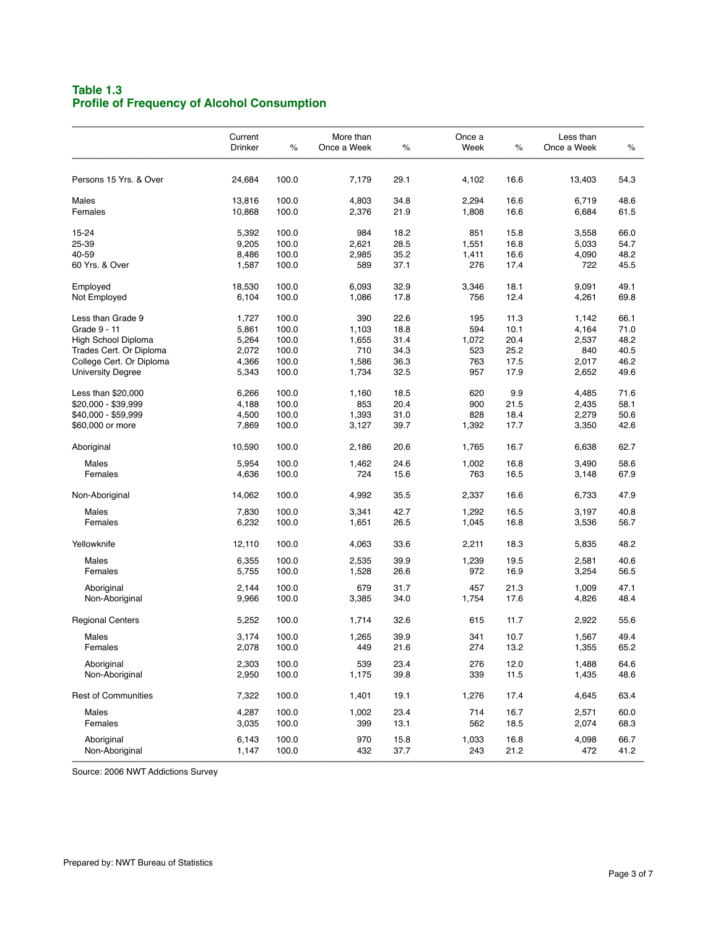# **Table 1.3 Profile of Frequency of Alcohol Consumption**

| Current<br>Drinker | $\%$                                                                                                                                  | More than<br>Once a Week                                                                                 | $\%$                                                                                             | Once a<br>Week                                                                               | $\%$                                                                                           | Less than<br>Once a Week                                                                     | $\%$                                                                                                   |
|--------------------|---------------------------------------------------------------------------------------------------------------------------------------|----------------------------------------------------------------------------------------------------------|--------------------------------------------------------------------------------------------------|----------------------------------------------------------------------------------------------|------------------------------------------------------------------------------------------------|----------------------------------------------------------------------------------------------|--------------------------------------------------------------------------------------------------------|
| 24,684             | 100.0                                                                                                                                 | 7,179                                                                                                    | 29.1                                                                                             | 4,102                                                                                        | 16.6                                                                                           | 13,403                                                                                       | 54.3                                                                                                   |
|                    |                                                                                                                                       |                                                                                                          |                                                                                                  |                                                                                              |                                                                                                |                                                                                              | 48.6                                                                                                   |
| 10,868             | 100.0                                                                                                                                 | 2,376                                                                                                    | 21.9                                                                                             | 1,808                                                                                        | 16.6                                                                                           | 6,684                                                                                        | 61.5                                                                                                   |
|                    |                                                                                                                                       |                                                                                                          |                                                                                                  |                                                                                              |                                                                                                |                                                                                              | 66.0                                                                                                   |
|                    |                                                                                                                                       |                                                                                                          |                                                                                                  |                                                                                              |                                                                                                |                                                                                              | 54.7                                                                                                   |
|                    |                                                                                                                                       |                                                                                                          |                                                                                                  |                                                                                              |                                                                                                |                                                                                              | 48.2                                                                                                   |
| 1,587              | 100.0                                                                                                                                 | 589                                                                                                      | 37.1                                                                                             | 276                                                                                          | 17.4                                                                                           | 722                                                                                          | 45.5                                                                                                   |
|                    |                                                                                                                                       |                                                                                                          |                                                                                                  |                                                                                              |                                                                                                |                                                                                              | 49.1                                                                                                   |
| 6,104              | 100.0                                                                                                                                 | 1,086                                                                                                    | 17.8                                                                                             | 756                                                                                          | 12.4                                                                                           | 4,261                                                                                        | 69.8                                                                                                   |
|                    |                                                                                                                                       |                                                                                                          |                                                                                                  |                                                                                              |                                                                                                |                                                                                              | 66.1                                                                                                   |
|                    | 100.0                                                                                                                                 | 1,103                                                                                                    | 18.8                                                                                             | 594                                                                                          | 10.1                                                                                           | 4,164                                                                                        | 71.0                                                                                                   |
|                    | 100.0                                                                                                                                 | 1,655                                                                                                    | 31.4                                                                                             | 1,072                                                                                        | 20.4                                                                                           | 2,537                                                                                        | 48.2                                                                                                   |
| 2,072              | 100.0                                                                                                                                 | 710                                                                                                      | 34.3                                                                                             | 523                                                                                          | 25.2                                                                                           | 840                                                                                          | 40.5                                                                                                   |
|                    | 100.0                                                                                                                                 | 1,586                                                                                                    | 36.3                                                                                             | 763                                                                                          | 17.5                                                                                           | 2,017                                                                                        | 46.2                                                                                                   |
| 5,343              | 100.0                                                                                                                                 | 1,734                                                                                                    | 32.5                                                                                             | 957                                                                                          | 17.9                                                                                           | 2,652                                                                                        | 49.6                                                                                                   |
| 6,266              | 100.0                                                                                                                                 | 1,160                                                                                                    | 18.5                                                                                             | 620                                                                                          | 9.9                                                                                            | 4,485                                                                                        | 71.6                                                                                                   |
| 4,188              | 100.0                                                                                                                                 | 853                                                                                                      | 20.4                                                                                             | 900                                                                                          | 21.5                                                                                           | 2,435                                                                                        | 58.1                                                                                                   |
| 4,500              | 100.0                                                                                                                                 | 1,393                                                                                                    | 31.0                                                                                             | 828                                                                                          | 18.4                                                                                           | 2,279                                                                                        | 50.6                                                                                                   |
| 7,869              | 100.0                                                                                                                                 | 3,127                                                                                                    | 39.7                                                                                             | 1,392                                                                                        | 17.7                                                                                           | 3,350                                                                                        | 42.6                                                                                                   |
| 10,590             | 100.0                                                                                                                                 | 2,186                                                                                                    | 20.6                                                                                             | 1,765                                                                                        | 16.7                                                                                           | 6,638                                                                                        | 62.7                                                                                                   |
|                    |                                                                                                                                       |                                                                                                          |                                                                                                  |                                                                                              |                                                                                                |                                                                                              | 58.6                                                                                                   |
| 4,636              | 100.0                                                                                                                                 | 724                                                                                                      | 15.6                                                                                             | 763                                                                                          | 16.5                                                                                           | 3,148                                                                                        | 67.9                                                                                                   |
| 14,062             | 100.0                                                                                                                                 | 4,992                                                                                                    | 35.5                                                                                             | 2,337                                                                                        | 16.6                                                                                           | 6,733                                                                                        | 47.9                                                                                                   |
|                    |                                                                                                                                       |                                                                                                          |                                                                                                  |                                                                                              |                                                                                                |                                                                                              | 40.8                                                                                                   |
| 6,232              | 100.0                                                                                                                                 | 1,651                                                                                                    | 26.5                                                                                             | 1,045                                                                                        | 16.8                                                                                           | 3,536                                                                                        | 56.7                                                                                                   |
| 12,110             | 100.0                                                                                                                                 | 4,063                                                                                                    | 33.6                                                                                             | 2,211                                                                                        | 18.3                                                                                           | 5,835                                                                                        | 48.2                                                                                                   |
|                    |                                                                                                                                       |                                                                                                          |                                                                                                  |                                                                                              |                                                                                                |                                                                                              | 40.6                                                                                                   |
| 5,755              | 100.0                                                                                                                                 | 1,528                                                                                                    | 26.6                                                                                             | 972                                                                                          | 16.9                                                                                           | 3,254                                                                                        | 56.5                                                                                                   |
| 2,144              | 100.0                                                                                                                                 | 679                                                                                                      | 31.7                                                                                             | 457                                                                                          | 21.3                                                                                           | 1,009                                                                                        | 47.1                                                                                                   |
| 9,966              | 100.0                                                                                                                                 | 3,385                                                                                                    | 34.0                                                                                             | 1,754                                                                                        | 17.6                                                                                           | 4,826                                                                                        | 48.4                                                                                                   |
| 5,252              | 100.0                                                                                                                                 | 1,714                                                                                                    | 32.6                                                                                             | 615                                                                                          | 11.7                                                                                           | 2,922                                                                                        | 55.6                                                                                                   |
| 3,174              | 100.0                                                                                                                                 | 1,265                                                                                                    | 39.9                                                                                             | 341                                                                                          | 10.7                                                                                           | 1,567                                                                                        | 49.4                                                                                                   |
| 2,078              | 100.0                                                                                                                                 | 449                                                                                                      | 21.6                                                                                             | 274                                                                                          | 13.2                                                                                           | 1,355                                                                                        | 65.2                                                                                                   |
| 2,303              | 100.0                                                                                                                                 | 539                                                                                                      | 23.4                                                                                             | 276                                                                                          | 12.0                                                                                           | 1,488                                                                                        | 64.6                                                                                                   |
|                    |                                                                                                                                       |                                                                                                          |                                                                                                  |                                                                                              |                                                                                                |                                                                                              | 48.6                                                                                                   |
| 7,322              | 100.0                                                                                                                                 | 1,401                                                                                                    | 19.1                                                                                             | 1,276                                                                                        | 17.4                                                                                           | 4,645                                                                                        | 63.4                                                                                                   |
| 4,287              | 100.0                                                                                                                                 | 1,002                                                                                                    | 23.4                                                                                             | 714                                                                                          | 16.7                                                                                           | 2,571                                                                                        | 60.0                                                                                                   |
|                    |                                                                                                                                       |                                                                                                          |                                                                                                  |                                                                                              |                                                                                                |                                                                                              | 68.3                                                                                                   |
| 6,143              | 100.0                                                                                                                                 | 970                                                                                                      | 15.8                                                                                             | 1,033                                                                                        | 16.8                                                                                           | 4,098                                                                                        | 66.7<br>41.2                                                                                           |
|                    | 13,816<br>5,392<br>9,205<br>8,486<br>18,530<br>1,727<br>5,861<br>5,264<br>4,366<br>5,954<br>7,830<br>6,355<br>2,950<br>3,035<br>1,147 | 100.0<br>100.0<br>100.0<br>100.0<br>100.0<br>100.0<br>100.0<br>100.0<br>100.0<br>100.0<br>100.0<br>100.0 | 4,803<br>984<br>2,621<br>2,985<br>6,093<br>390<br>1,462<br>3,341<br>2,535<br>1,175<br>399<br>432 | 34.8<br>18.2<br>28.5<br>35.2<br>32.9<br>22.6<br>24.6<br>42.7<br>39.9<br>39.8<br>13.1<br>37.7 | 2,294<br>851<br>1,551<br>1,411<br>3,346<br>195<br>1,002<br>1,292<br>1,239<br>339<br>562<br>243 | 16.6<br>15.8<br>16.8<br>16.6<br>18.1<br>11.3<br>16.8<br>16.5<br>19.5<br>11.5<br>18.5<br>21.2 | 6,719<br>3,558<br>5,033<br>4,090<br>9,091<br>1,142<br>3,490<br>3,197<br>2,581<br>1,435<br>2,074<br>472 |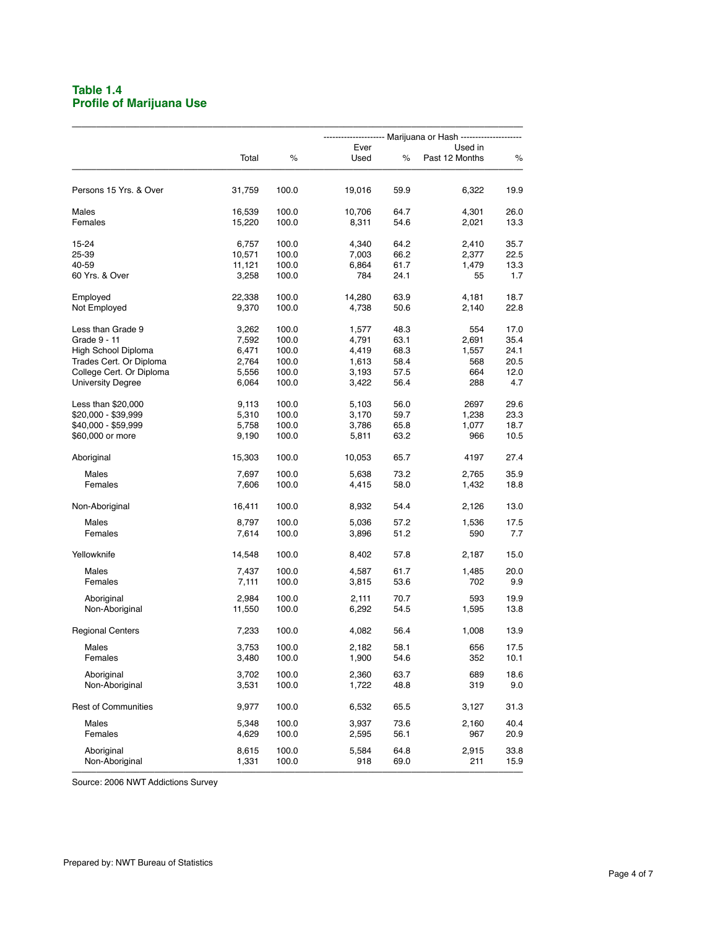## **Table 1.4 Profile of Marijuana Use**

|                            |                  |                | ------------ Marijuana or Hash --------------------- |              |                           |              |  |  |  |
|----------------------------|------------------|----------------|------------------------------------------------------|--------------|---------------------------|--------------|--|--|--|
|                            | Total            | $\%$           | Ever<br>Used                                         | $\%$         | Used in<br>Past 12 Months | %            |  |  |  |
| Persons 15 Yrs. & Over     | 31,759           | 100.0          | 19,016                                               | 59.9         | 6,322                     | 19.9         |  |  |  |
| Males<br>Females           | 16,539<br>15,220 | 100.0<br>100.0 | 10,706<br>8,311                                      | 64.7<br>54.6 | 4,301<br>2,021            | 26.0<br>13.3 |  |  |  |
|                            |                  |                |                                                      |              |                           |              |  |  |  |
| 15-24<br>25-39             | 6,757<br>10,571  | 100.0<br>100.0 | 4,340<br>7,003                                       | 64.2<br>66.2 | 2,410<br>2,377            | 35.7<br>22.5 |  |  |  |
| 40-59                      | 11,121           | 100.0          | 6,864                                                | 61.7         | 1,479                     | 13.3         |  |  |  |
| 60 Yrs. & Over             | 3,258            | 100.0          | 784                                                  | 24.1         | 55                        | 1.7          |  |  |  |
| Employed                   | 22,338           | 100.0          | 14,280                                               | 63.9         | 4,181                     | 18.7         |  |  |  |
| Not Employed               | 9,370            | 100.0          | 4,738                                                | 50.6         | 2,140                     | 22.8         |  |  |  |
| Less than Grade 9          | 3,262            | 100.0          | 1,577                                                | 48.3         | 554                       | 17.0         |  |  |  |
| Grade 9 - 11               | 7,592            | 100.0          | 4,791                                                | 63.1         | 2,691                     | 35.4         |  |  |  |
| High School Diploma        | 6,471            | 100.0          | 4,419                                                | 68.3         | 1,557                     | 24.1         |  |  |  |
| Trades Cert. Or Diploma    | 2,764            | 100.0          | 1,613                                                | 58.4         | 568                       | 20.5         |  |  |  |
| College Cert. Or Diploma   | 5,556            | 100.0          | 3,193                                                | 57.5         | 664                       | 12.0         |  |  |  |
| <b>University Degree</b>   | 6,064            | 100.0          | 3,422                                                | 56.4         | 288                       | 4.7          |  |  |  |
| Less than \$20,000         | 9,113            | 100.0          | 5,103                                                | 56.0         | 2697                      | 29.6         |  |  |  |
| \$20,000 - \$39,999        | 5,310            | 100.0          | 3,170                                                | 59.7         | 1,238                     | 23.3         |  |  |  |
| \$40,000 - \$59,999        | 5,758            | 100.0          | 3,786                                                | 65.8         | 1,077                     | 18.7         |  |  |  |
| \$60,000 or more           | 9,190            | 100.0          | 5,811                                                | 63.2         | 966                       | 10.5         |  |  |  |
| Aboriginal                 | 15,303           | 100.0          | 10,053                                               | 65.7         | 4197                      | 27.4         |  |  |  |
| Males                      | 7,697            | 100.0          | 5,638                                                | 73.2         | 2,765                     | 35.9         |  |  |  |
| Females                    | 7,606            | 100.0          | 4,415                                                | 58.0         | 1,432                     | 18.8         |  |  |  |
| Non-Aboriginal             | 16,411           | 100.0          | 8,932                                                | 54.4         | 2,126                     | 13.0         |  |  |  |
| <b>Males</b>               | 8,797            | 100.0          | 5,036                                                | 57.2         | 1,536                     | 17.5         |  |  |  |
| Females                    | 7,614            | 100.0          | 3,896                                                | 51.2         | 590                       | 7.7          |  |  |  |
| Yellowknife                | 14,548           | 100.0          | 8,402                                                | 57.8         | 2,187                     | 15.0         |  |  |  |
| Males                      | 7,437            | 100.0          | 4,587                                                | 61.7         | 1,485                     | 20.0         |  |  |  |
| Females                    | 7,111            | 100.0          | 3,815                                                | 53.6         | 702                       | 9.9          |  |  |  |
| Aboriginal                 | 2,984            | 100.0          | 2,111                                                | 70.7         | 593                       | 19.9         |  |  |  |
| Non-Aboriginal             | 11,550           | 100.0          | 6,292                                                | 54.5         | 1,595                     | 13.8         |  |  |  |
| <b>Regional Centers</b>    | 7,233            | 100.0          | 4,082                                                | 56.4         | 1,008                     | 13.9         |  |  |  |
| Males                      | 3,753            | 100.0          | 2,182                                                | 58.1         | 656                       | 17.5         |  |  |  |
| Females                    | 3,480            | 100.0          | 1,900                                                | 54.6         | 352                       | 10.1         |  |  |  |
| Aboriginal                 | 3,702            | 100.0          | 2,360                                                | 63.7         | 689                       | 18.6         |  |  |  |
| Non-Aboriginal             | 3,531            | 100.0          | 1,722                                                | 48.8         | 319                       | 9.0          |  |  |  |
| <b>Rest of Communities</b> | 9,977            | 100.0          | 6,532                                                | 65.5         | 3,127                     | 31.3         |  |  |  |
| Males                      | 5,348            | 100.0          | 3,937                                                | 73.6         | 2,160                     | 40.4         |  |  |  |
| Females                    | 4,629            | 100.0          | 2,595                                                | 56.1         | 967                       | 20.9         |  |  |  |
| Aboriginal                 | 8,615            | 100.0          | 5,584                                                | 64.8         | 2,915                     | 33.8         |  |  |  |
| Non-Aboriginal             | 1,331            | 100.0          | 918                                                  | 69.0         | 211                       | 15.9         |  |  |  |
|                            |                  |                |                                                      |              |                           |              |  |  |  |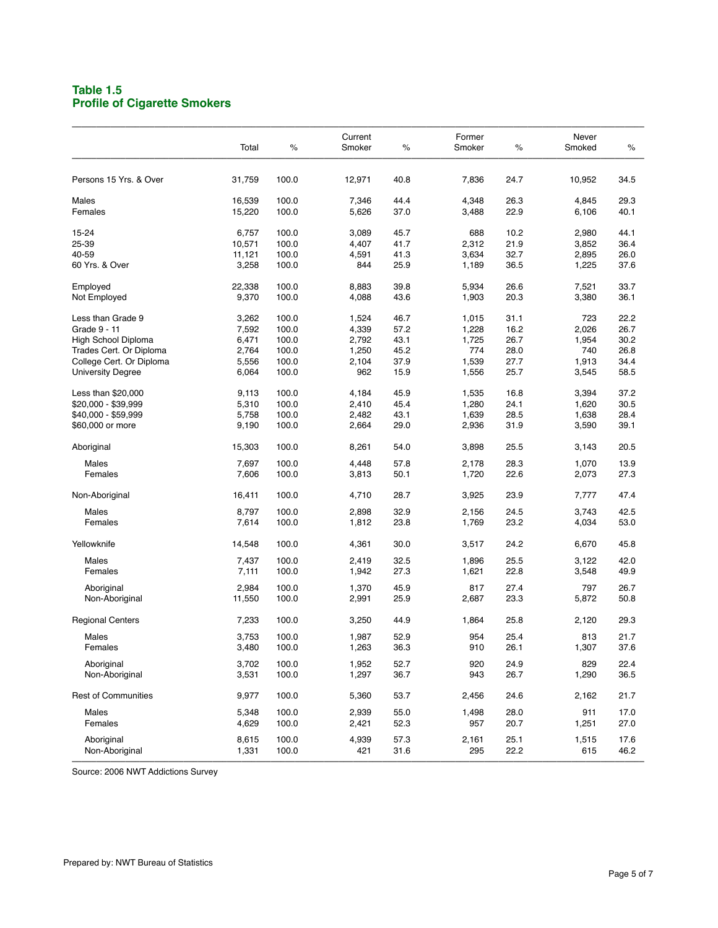### **Table 1.5 Profile of Cigarette Smokers**

|                            |        |       | Current |      | Former |      | Never  |      |
|----------------------------|--------|-------|---------|------|--------|------|--------|------|
|                            | Total  | %     | Smoker  | $\%$ | Smoker | $\%$ | Smoked | $\%$ |
| Persons 15 Yrs. & Over     | 31,759 | 100.0 | 12,971  | 40.8 | 7,836  | 24.7 | 10,952 | 34.5 |
|                            |        |       |         |      |        |      |        |      |
| Males                      | 16,539 | 100.0 | 7,346   | 44.4 | 4,348  | 26.3 | 4,845  | 29.3 |
| Females                    | 15,220 | 100.0 | 5,626   | 37.0 | 3,488  | 22.9 | 6,106  | 40.1 |
| 15-24                      | 6,757  | 100.0 | 3,089   | 45.7 | 688    | 10.2 | 2,980  | 44.1 |
| 25-39                      | 10,571 | 100.0 | 4,407   | 41.7 | 2,312  | 21.9 | 3,852  | 36.4 |
| 40-59                      | 11,121 | 100.0 | 4,591   | 41.3 | 3,634  | 32.7 | 2,895  | 26.0 |
| 60 Yrs. & Over             | 3,258  | 100.0 | 844     | 25.9 | 1,189  | 36.5 | 1,225  | 37.6 |
| Employed                   | 22,338 | 100.0 | 8,883   | 39.8 | 5,934  | 26.6 | 7,521  | 33.7 |
| Not Employed               | 9,370  | 100.0 | 4,088   | 43.6 | 1,903  | 20.3 | 3,380  | 36.1 |
| Less than Grade 9          | 3,262  | 100.0 | 1,524   | 46.7 | 1,015  | 31.1 | 723    | 22.2 |
| Grade 9 - 11               | 7,592  | 100.0 | 4,339   | 57.2 | 1,228  | 16.2 | 2,026  | 26.7 |
| High School Diploma        | 6,471  | 100.0 | 2,792   | 43.1 | 1,725  | 26.7 | 1,954  | 30.2 |
| Trades Cert. Or Diploma    | 2,764  | 100.0 | 1,250   | 45.2 | 774    | 28.0 | 740    | 26.8 |
| College Cert. Or Diploma   | 5,556  | 100.0 | 2,104   | 37.9 | 1,539  | 27.7 | 1,913  | 34.4 |
| <b>University Degree</b>   | 6,064  | 100.0 | 962     | 15.9 | 1,556  | 25.7 | 3,545  | 58.5 |
| Less than \$20,000         | 9,113  | 100.0 | 4,184   | 45.9 | 1,535  | 16.8 | 3,394  | 37.2 |
| \$20,000 - \$39,999        | 5,310  | 100.0 | 2,410   | 45.4 | 1,280  | 24.1 | 1,620  | 30.5 |
| \$40,000 - \$59,999        | 5,758  | 100.0 | 2,482   | 43.1 | 1,639  | 28.5 | 1,638  | 28.4 |
| \$60,000 or more           | 9,190  | 100.0 | 2,664   | 29.0 | 2,936  | 31.9 | 3,590  | 39.1 |
| Aboriginal                 | 15,303 | 100.0 | 8,261   | 54.0 | 3,898  | 25.5 | 3,143  | 20.5 |
| Males                      | 7,697  | 100.0 | 4,448   | 57.8 | 2,178  | 28.3 | 1,070  | 13.9 |
| Females                    | 7,606  | 100.0 | 3,813   | 50.1 | 1,720  | 22.6 | 2,073  | 27.3 |
| Non-Aboriginal             | 16,411 | 100.0 | 4,710   | 28.7 | 3,925  | 23.9 | 7,777  | 47.4 |
| Males                      | 8,797  | 100.0 | 2,898   | 32.9 | 2,156  | 24.5 | 3,743  | 42.5 |
| Females                    | 7,614  | 100.0 | 1,812   | 23.8 | 1,769  | 23.2 | 4,034  | 53.0 |
|                            |        |       |         |      |        |      |        |      |
| Yellowknife                | 14,548 | 100.0 | 4,361   | 30.0 | 3,517  | 24.2 | 6,670  | 45.8 |
| Males                      | 7,437  | 100.0 | 2,419   | 32.5 | 1,896  | 25.5 | 3,122  | 42.0 |
| Females                    | 7,111  | 100.0 | 1,942   | 27.3 | 1,621  | 22.8 | 3,548  | 49.9 |
| Aboriginal                 | 2,984  | 100.0 | 1,370   | 45.9 | 817    | 27.4 | 797    | 26.7 |
| Non-Aboriginal             | 11,550 | 100.0 | 2,991   | 25.9 | 2,687  | 23.3 | 5,872  | 50.8 |
| <b>Regional Centers</b>    | 7,233  | 100.0 | 3,250   | 44.9 | 1,864  | 25.8 | 2,120  | 29.3 |
| Males                      | 3,753  | 100.0 | 1,987   | 52.9 | 954    | 25.4 | 813    | 21.7 |
| Females                    | 3,480  | 100.0 | 1,263   | 36.3 | 910    | 26.1 | 1,307  | 37.6 |
| Aboriginal                 | 3,702  | 100.0 | 1,952   | 52.7 | 920    | 24.9 | 829    | 22.4 |
| Non-Aboriginal             | 3,531  | 100.0 | 1,297   | 36.7 | 943    | 26.7 | 1,290  | 36.5 |
| <b>Rest of Communities</b> | 9,977  | 100.0 | 5,360   | 53.7 | 2,456  | 24.6 | 2,162  | 21.7 |
| Males                      | 5,348  | 100.0 | 2,939   | 55.0 | 1,498  | 28.0 | 911    | 17.0 |
| Females                    | 4,629  | 100.0 | 2,421   | 52.3 | 957    | 20.7 | 1,251  | 27.0 |
| Aboriginal                 | 8,615  | 100.0 | 4,939   | 57.3 | 2,161  | 25.1 | 1,515  | 17.6 |
| Non-Aboriginal             | 1,331  | 100.0 | 421     | 31.6 | 295    | 22.2 | 615    | 46.2 |
|                            |        |       |         |      |        |      |        |      |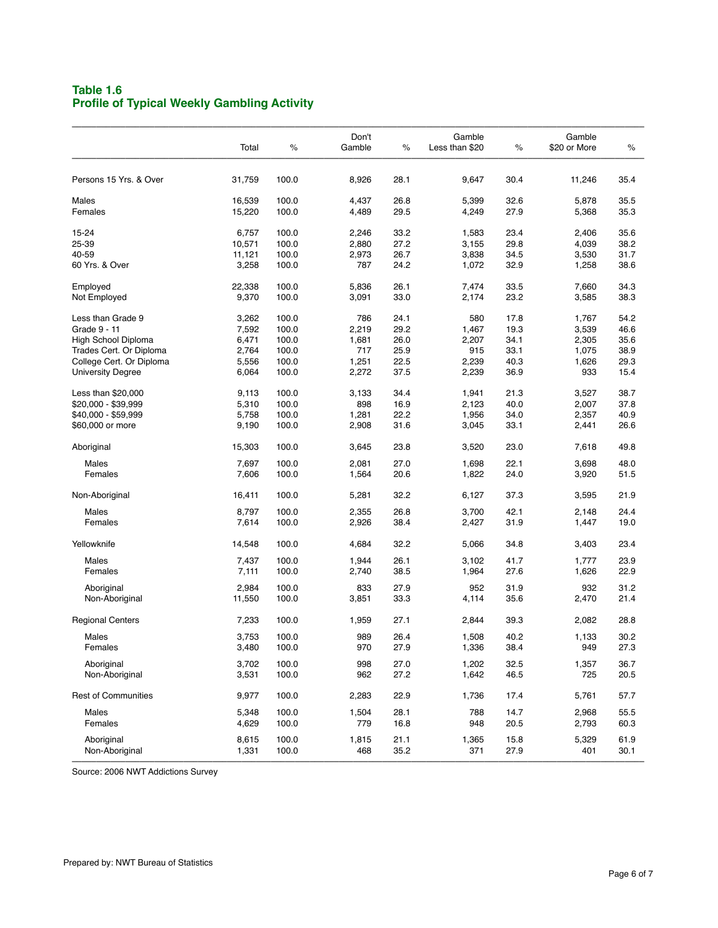# **Table 1.6 Profile of Typical Weekly Gambling Activity**

|                            | Total  | $\%$  | Don't<br>Gamble | $\%$ | Gamble<br>Less than \$20 | $\%$ | Gamble<br>\$20 or More | $\%$ |
|----------------------------|--------|-------|-----------------|------|--------------------------|------|------------------------|------|
| Persons 15 Yrs. & Over     | 31,759 | 100.0 | 8,926           | 28.1 | 9,647                    | 30.4 | 11,246                 | 35.4 |
| Males                      | 16,539 | 100.0 | 4,437           | 26.8 | 5,399                    | 32.6 | 5,878                  | 35.5 |
| Females                    | 15,220 | 100.0 | 4,489           | 29.5 | 4,249                    | 27.9 | 5,368                  | 35.3 |
| 15-24                      | 6,757  | 100.0 | 2,246           | 33.2 | 1,583                    | 23.4 | 2,406                  | 35.6 |
| 25-39                      | 10,571 | 100.0 | 2,880           | 27.2 | 3,155                    | 29.8 | 4,039                  | 38.2 |
| 40-59                      | 11,121 | 100.0 | 2,973           | 26.7 | 3,838                    | 34.5 | 3,530                  | 31.7 |
| 60 Yrs. & Over             | 3,258  | 100.0 | 787             | 24.2 | 1,072                    | 32.9 | 1,258                  | 38.6 |
| Employed                   | 22,338 | 100.0 | 5,836           | 26.1 | 7,474                    | 33.5 | 7,660                  | 34.3 |
| Not Employed               | 9,370  | 100.0 | 3,091           | 33.0 | 2,174                    | 23.2 | 3,585                  | 38.3 |
| Less than Grade 9          | 3,262  | 100.0 | 786             | 24.1 | 580                      | 17.8 | 1,767                  | 54.2 |
| Grade 9 - 11               | 7,592  | 100.0 | 2,219           | 29.2 | 1,467                    | 19.3 | 3,539                  | 46.6 |
| High School Diploma        | 6,471  | 100.0 | 1,681           | 26.0 | 2,207                    | 34.1 | 2,305                  | 35.6 |
| Trades Cert. Or Diploma    | 2,764  | 100.0 | 717             | 25.9 | 915                      | 33.1 | 1,075                  | 38.9 |
| College Cert. Or Diploma   | 5,556  | 100.0 | 1,251           | 22.5 | 2,239                    | 40.3 | 1,626                  | 29.3 |
| <b>University Degree</b>   | 6,064  | 100.0 | 2,272           | 37.5 | 2,239                    | 36.9 | 933                    | 15.4 |
| Less than \$20,000         | 9,113  | 100.0 | 3,133           | 34.4 | 1,941                    | 21.3 | 3,527                  | 38.7 |
| \$20,000 - \$39,999        | 5,310  | 100.0 | 898             | 16.9 | 2,123                    | 40.0 | 2,007                  | 37.8 |
| \$40,000 - \$59,999        | 5,758  | 100.0 | 1,281           | 22.2 | 1,956                    | 34.0 | 2,357                  | 40.9 |
| \$60,000 or more           | 9,190  | 100.0 | 2,908           | 31.6 | 3,045                    | 33.1 | 2,441                  | 26.6 |
| Aboriginal                 | 15,303 | 100.0 | 3,645           | 23.8 | 3,520                    | 23.0 | 7,618                  | 49.8 |
| Males                      | 7,697  | 100.0 | 2,081           | 27.0 | 1,698                    | 22.1 | 3,698                  | 48.0 |
| Females                    | 7,606  | 100.0 | 1,564           | 20.6 | 1,822                    | 24.0 | 3,920                  | 51.5 |
| Non-Aboriginal             | 16,411 | 100.0 | 5,281           | 32.2 | 6,127                    | 37.3 | 3,595                  | 21.9 |
|                            |        |       |                 | 26.8 |                          | 42.1 |                        |      |
| Males                      | 8,797  | 100.0 | 2,355           |      | 3,700                    |      | 2,148                  | 24.4 |
| Females                    | 7,614  | 100.0 | 2,926           | 38.4 | 2,427                    | 31.9 | 1,447                  | 19.0 |
| Yellowknife                | 14,548 | 100.0 | 4,684           | 32.2 | 5,066                    | 34.8 | 3,403                  | 23.4 |
| Males                      | 7,437  | 100.0 | 1,944           | 26.1 | 3,102                    | 41.7 | 1,777                  | 23.9 |
| Females                    | 7,111  | 100.0 | 2,740           | 38.5 | 1,964                    | 27.6 | 1,626                  | 22.9 |
| Aboriginal                 | 2,984  | 100.0 | 833             | 27.9 | 952                      | 31.9 | 932                    | 31.2 |
| Non-Aboriginal             | 11,550 | 100.0 | 3,851           | 33.3 | 4,114                    | 35.6 | 2,470                  | 21.4 |
| <b>Regional Centers</b>    | 7,233  | 100.0 | 1,959           | 27.1 | 2,844                    | 39.3 | 2,082                  | 28.8 |
| Males                      | 3,753  | 100.0 | 989             | 26.4 | 1,508                    | 40.2 | 1,133                  | 30.2 |
| Females                    | 3,480  | 100.0 | 970             | 27.9 | 1,336                    | 38.4 | 949                    | 27.3 |
| Aboriginal                 | 3,702  | 100.0 | 998             | 27.0 | 1,202                    | 32.5 | 1,357                  | 36.7 |
| Non-Aboriginal             | 3,531  | 100.0 | 962             | 27.2 | 1,642                    | 46.5 | 725                    | 20.5 |
| <b>Rest of Communities</b> | 9,977  | 100.0 | 2,283           | 22.9 | 1,736                    | 17.4 | 5,761                  | 57.7 |
| Males                      | 5,348  | 100.0 | 1,504           | 28.1 | 788                      | 14.7 | 2,968                  | 55.5 |
| Females                    | 4,629  | 100.0 | 779             | 16.8 | 948                      | 20.5 | 2,793                  | 60.3 |
| Aboriginal                 | 8,615  | 100.0 | 1,815           | 21.1 | 1,365                    | 15.8 | 5,329                  | 61.9 |
| Non-Aboriginal             | 1,331  | 100.0 | 468             | 35.2 | 371                      | 27.9 | 401                    | 30.1 |
|                            |        |       |                 |      |                          |      |                        |      |